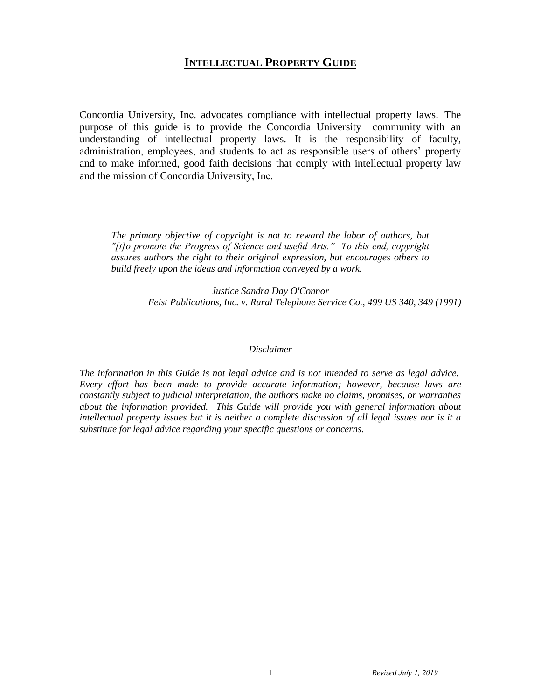## **INTELLECTUAL PROPERTY GUIDE**

Concordia University, Inc. advocates compliance with intellectual property laws. The purpose of this guide is to provide the Concordia University community with an understanding of intellectual property laws. It is the responsibility of faculty, administration, employees, and students to act as responsible users of others' property and to make informed, good faith decisions that comply with intellectual property law and the mission of Concordia University, Inc.

*The primary objective of copyright is not to reward the labor of authors, but "[t]o promote the Progress of Science and useful Arts." To this end, copyright assures authors the right to their original expression, but encourages others to build freely upon the ideas and information conveyed by a work.* 

> *Justice Sandra Day O'Connor Feist Publications, Inc. v. Rural Telephone Service Co., 499 US 340, 349 (1991)*

#### *Disclaimer*

*The information in this Guide is not legal advice and is not intended to serve as legal advice. Every effort has been made to provide accurate information; however, because laws are constantly subject to judicial interpretation, the authors make no claims, promises, or warranties about the information provided. This Guide will provide you with general information about intellectual property issues but it is neither a complete discussion of all legal issues nor is it a substitute for legal advice regarding your specific questions or concerns.*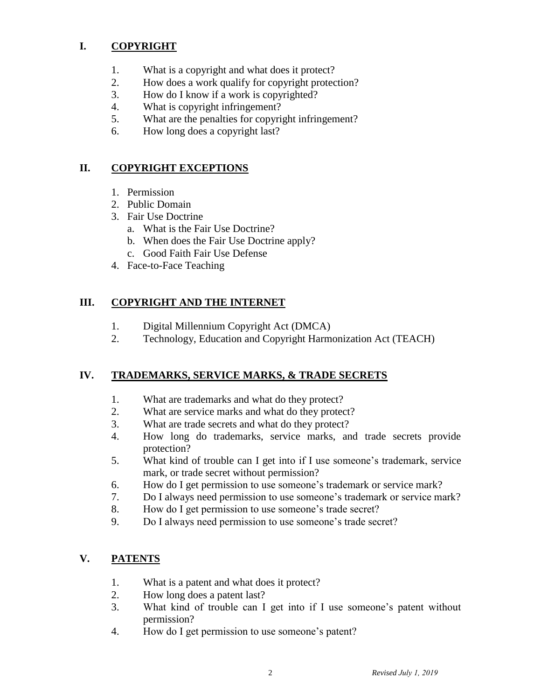## **I. COPYRIGHT**

- 1. What is a copyright and what does it protect?
- 2. How does a work qualify for copyright protection?
- 3. How do I know if a work is copyrighted?
- 4. What is copyright infringement?
- 5. What are the penalties for copyright infringement?
- 6. How long does a copyright last?

## **II. COPYRIGHT EXCEPTIONS**

- 1. Permission
- 2. Public Domain
- 3. Fair Use Doctrine
	- a. What is the Fair Use Doctrine?
	- b. When does the Fair Use Doctrine apply?
	- c. Good Faith Fair Use Defense
- 4. Face-to-Face Teaching

## **III. COPYRIGHT AND THE INTERNET**

- 1. Digital Millennium Copyright Act (DMCA)
- 2. Technology, Education and Copyright Harmonization Act (TEACH)

## **IV. TRADEMARKS, SERVICE MARKS, & TRADE SECRETS**

- 1. What are trademarks and what do they protect?
- 2. What are service marks and what do they protect?
- 3. What are trade secrets and what do they protect?
- 4. How long do trademarks, service marks, and trade secrets provide protection?
- 5. What kind of trouble can I get into if I use someone's trademark, service mark, or trade secret without permission?
- 6. How do I get permission to use someone's trademark or service mark?
- 7. Do I always need permission to use someone's trademark or service mark?
- 8. How do I get permission to use someone's trade secret?
- 9. Do I always need permission to use someone's trade secret?

## **V. PATENTS**

- 1. What is a patent and what does it protect?
- 2. How long does a patent last?
- 3. What kind of trouble can I get into if I use someone's patent without permission?
- 4. How do I get permission to use someone's patent?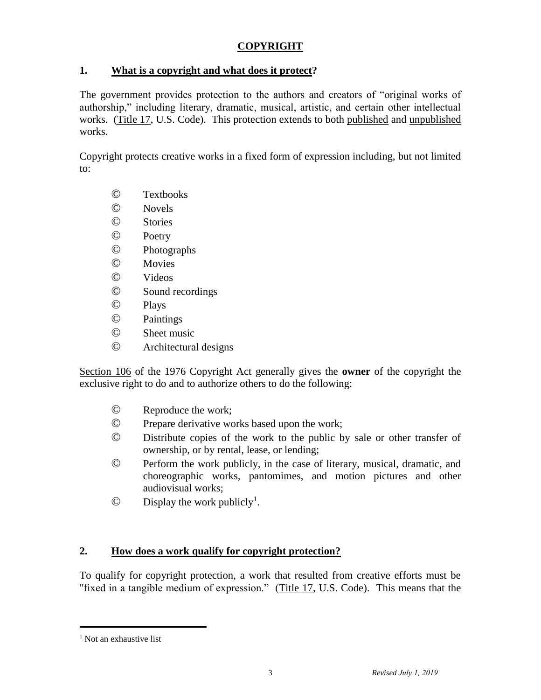## **COPYRIGHT**

#### **1. What is a copyright and what does it protect?**

The government provides protection to the authors and creators of "original works of authorship," including literary, dramatic, musical, artistic, and certain other intellectual works. [\(Title 17,](http://www.copyright.gov/title17/) U.S. Code). This protection extends to both published and unpublished works.

Copyright protects creative works in a fixed form of expression including, but not limited to:

- © Textbooks
- © Novels
- © Stories
- © Poetry
- © Photographs
- © Movies
- © Videos
- © Sound recordings
- © Plays
- © Paintings
- © Sheet music
- © Architectural designs

[Section 106](http://www.copyright.gov/title17/92chap1.html#106) of the 1976 Copyright Act generally gives the **owner** of the copyright the exclusive right to do and to authorize others to do the following:

- © Reproduce the work;
- © Prepare derivative works based upon the work;
- © Distribute copies of the work to the public by sale or other transfer of ownership, or by rental, lease, or lending;
- © Perform the work publicly, in the case of literary, musical, dramatic, and choreographic works, pantomimes, and motion pictures and other audiovisual works;
- $\odot$  Display the work publicly<sup>1</sup>.

## **2. How does a work qualify for copyright protection?**

To qualify for copyright protection, a work that resulted from creative efforts must be "fixed in a tangible medium of expression." [\(Title 17,](http://www.copyright.gov/title17/) U.S. Code). This means that the

<sup>&</sup>lt;sup>1</sup> Not an exhaustive list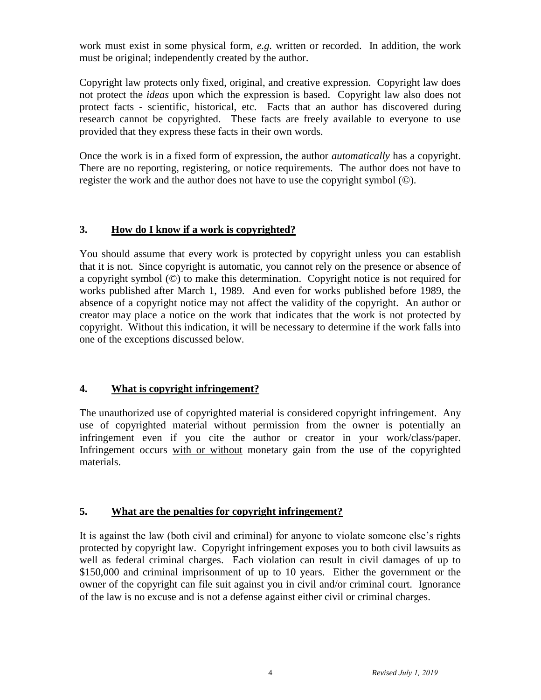work must exist in some physical form, *e.g.* written or recorded. In addition, the work must be original; independently created by the author.

Copyright law protects only fixed, original, and creative expression. Copyright law does not protect the *ideas* upon which the expression is based. Copyright law also does not protect facts - scientific, historical, etc. Facts that an author has discovered during research cannot be copyrighted. These facts are freely available to everyone to use provided that they express these facts in their own words.

Once the work is in a fixed form of expression, the author *automatically* has a copyright. There are no reporting, registering, or notice requirements. The author does not have to register the work and the author does not have to use the copyright symbol (©).

#### **3. How do I know if a work is copyrighted?**

You should assume that every work is protected by copyright unless you can establish that it is not. Since copyright is automatic, you cannot rely on the presence or absence of a copyright symbol (©) to make this determination. Copyright notice is not required for works published after March 1, 1989. And even for works published before 1989, the absence of a copyright notice may not affect the validity of the copyright. An author or creator may place a notice on the work that indicates that the work is not protected by copyright. Without this indication, it will be necessary to determine if the work falls into one of the exceptions discussed below.

#### **4. What is copyright infringement?**

The unauthorized use of copyrighted material is considered copyright infringement. Any use of copyrighted material without permission from the owner is potentially an infringement even if you cite the author or creator in your work/class/paper. Infringement occurs with or without monetary gain from the use of the copyrighted materials.

#### **5. What are the penalties for copyright infringement?**

It is against the law (both civil and criminal) for anyone to violate someone else's rights protected by copyright law. Copyright infringement exposes you to both civil lawsuits as well as federal criminal charges. Each violation can result in civil damages of up to \$150,000 and criminal imprisonment of up to 10 years. Either the government or the owner of the copyright can file suit against you in civil and/or criminal court. Ignorance of the law is no excuse and is not a defense against either civil or criminal charges.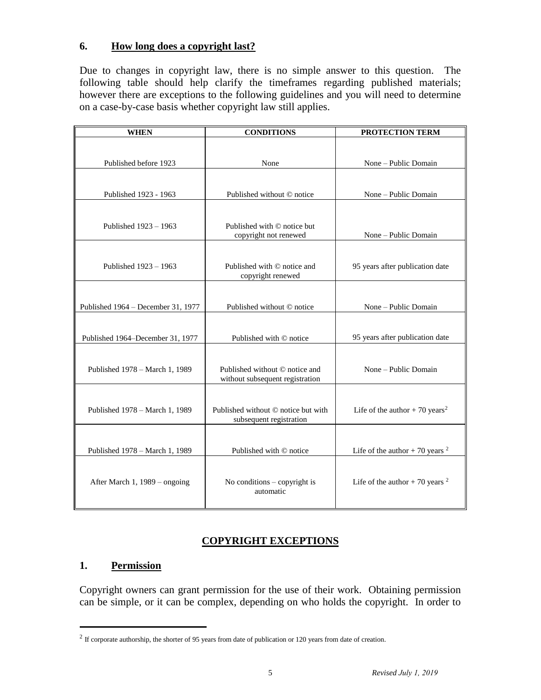#### **6. How long does a copyright last?**

Due to changes in copyright law, there is no simple answer to this question. The following table should help clarify the timeframes regarding published materials; however there are exceptions to the following guidelines and you will need to determine on a case-by-case basis whether copyright law still applies.

| <b>WHEN</b>                        | <b>CONDITIONS</b>                                                 | PROTECTION TERM                            |  |
|------------------------------------|-------------------------------------------------------------------|--------------------------------------------|--|
|                                    |                                                                   |                                            |  |
| Published before 1923              | None                                                              | None - Public Domain                       |  |
|                                    |                                                                   |                                            |  |
| Published 1923 - 1963              | Published without © notice                                        | None - Public Domain                       |  |
|                                    |                                                                   |                                            |  |
| Published 1923 - 1963              | Published with © notice but<br>copyright not renewed              | None - Public Domain                       |  |
|                                    |                                                                   |                                            |  |
| Published 1923 - 1963              | Published with © notice and<br>copyright renewed                  | 95 years after publication date            |  |
|                                    |                                                                   |                                            |  |
| Published 1964 - December 31, 1977 | Published without © notice                                        | None - Public Domain                       |  |
|                                    |                                                                   |                                            |  |
| Published 1964-December 31, 1977   | Published with © notice                                           | 95 years after publication date            |  |
|                                    |                                                                   |                                            |  |
| Published 1978 – March 1, 1989     | Published without © notice and<br>without subsequent registration | None – Public Domain                       |  |
|                                    |                                                                   |                                            |  |
| Published 1978 - March 1, 1989     | Published without © notice but with<br>subsequent registration    | Life of the author + 70 years <sup>2</sup> |  |
|                                    |                                                                   |                                            |  |
| Published 1978 - March 1, 1989     | Published with © notice                                           | Life of the author + 70 years $^2$         |  |
|                                    |                                                                   |                                            |  |
| After March 1, 1989 - ongoing      | No conditions $-$ copyright is<br>automatic                       | Life of the author + 70 years $^2$         |  |

## **COPYRIGHT EXCEPTIONS**

#### **1. Permission**

Copyright owners can grant permission for the use of their work. Obtaining permission can be simple, or it can be complex, depending on who holds the copyright. In order to

 $2 \text{ If corporate authorship, the shorter of 95 years from date of publication or 120 years from date of creation.}$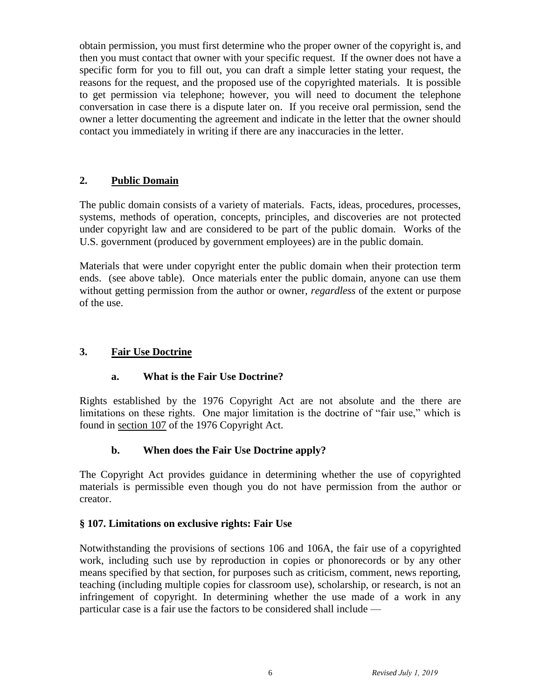obtain permission, you must first determine who the proper owner of the copyright is, and then you must contact that owner with your specific request. If the owner does not have a specific form for you to fill out, you can draft a simple letter stating your request, the reasons for the request, and the proposed use of the copyrighted materials. It is possible to get permission via telephone; however, you will need to document the telephone conversation in case there is a dispute later on. If you receive oral permission, send the owner a letter documenting the agreement and indicate in the letter that the owner should contact you immediately in writing if there are any inaccuracies in the letter.

#### **2. Public Domain**

The public domain consists of a variety of materials. Facts, ideas, procedures, processes, systems, methods of operation, concepts, principles, and discoveries are not protected under copyright law and are considered to be part of the public domain. Works of the U.S. government (produced by government employees) are in the public domain.

Materials that were under copyright enter the public domain when their protection term ends. (see above table). Once materials enter the public domain, anyone can use them without getting permission from the author or owner, *regardless* of the extent or purpose of the use.

#### **3. Fair Use Doctrine**

#### **a. What is the Fair Use Doctrine?**

Rights established by the 1976 Copyright Act are not absolute and the there are limitations on these rights. One major limitation is the doctrine of "fair use," which is found in [section 107](http://www.copyright.gov/title17/92chap1.html#107) of the 1976 Copyright Act.

#### **b. When does the Fair Use Doctrine apply?**

The Copyright Act provides guidance in determining whether the use of copyrighted materials is permissible even though you do not have permission from the author or creator.

#### **§ 107. Limitations on exclusive rights: Fair Use**

Notwithstanding the provisions of [sections 106](http://www.copyright.gov/title17/92chap1.html#106) and [106A,](http://www.copyright.gov/title17/92chap1.html#106a) the fair use of a copyrighted work, including such use by reproduction in copies or phonorecords or by any other means specified by that section, for purposes such as criticism, comment, news reporting, teaching (including multiple copies for classroom use), scholarship, or research, is not an infringement of copyright. In determining whether the use made of a work in any particular case is a fair use the factors to be considered shall include —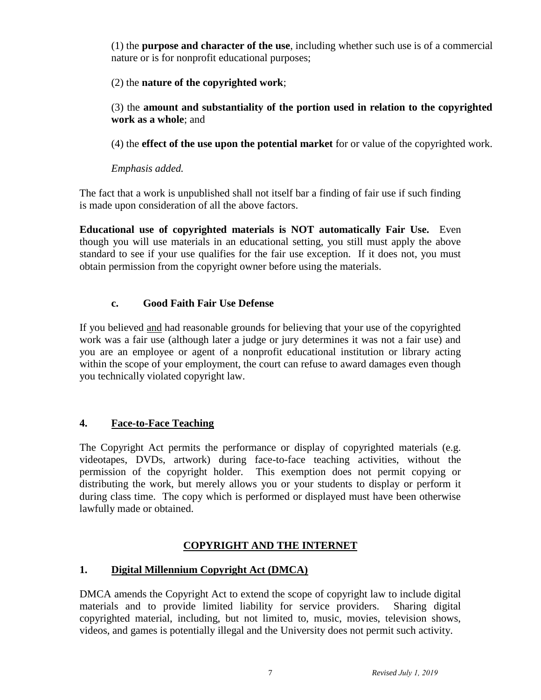(1) the **purpose and character of the use**, including whether such use is of a commercial nature or is for nonprofit educational purposes;

#### (2) the **nature of the copyrighted work**;

(3) the **amount and substantiality of the portion used in relation to the copyrighted work as a whole**; and

(4) the **effect of the use upon the potential market** for or value of the copyrighted work.

## *Emphasis added.*

The fact that a work is unpublished shall not itself bar a finding of fair use if such finding is made upon consideration of all the above factors.

**Educational use of copyrighted materials is NOT automatically Fair Use.** Even though you will use materials in an educational setting, you still must apply the above standard to see if your use qualifies for the fair use exception. If it does not, you must obtain permission from the copyright owner before using the materials.

## **c. Good Faith Fair Use Defense**

If you believed and had reasonable grounds for believing that your use of the copyrighted work was a fair use (although later a judge or jury determines it was not a fair use) and you are an employee or agent of a nonprofit educational institution or library acting within the scope of your employment, the court can refuse to award damages even though you technically violated copyright law.

## **4. Face-to-Face Teaching**

The Copyright Act permits the performance or display of copyrighted materials (e.g. videotapes, DVDs, artwork) during face-to-face teaching activities, without the permission of the copyright holder. This exemption does not permit copying or distributing the work, but merely allows you or your students to display or perform it during class time. The copy which is performed or displayed must have been otherwise lawfully made or obtained.

## **COPYRIGHT AND THE INTERNET**

## **1. Digital Millennium Copyright Act (DMCA)**

DMCA amends the Copyright Act to extend the scope of copyright law to include digital materials and to provide limited liability for service providers. Sharing digital copyrighted material, including, but not limited to, music, movies, television shows, videos, and games is potentially illegal and the University does not permit such activity.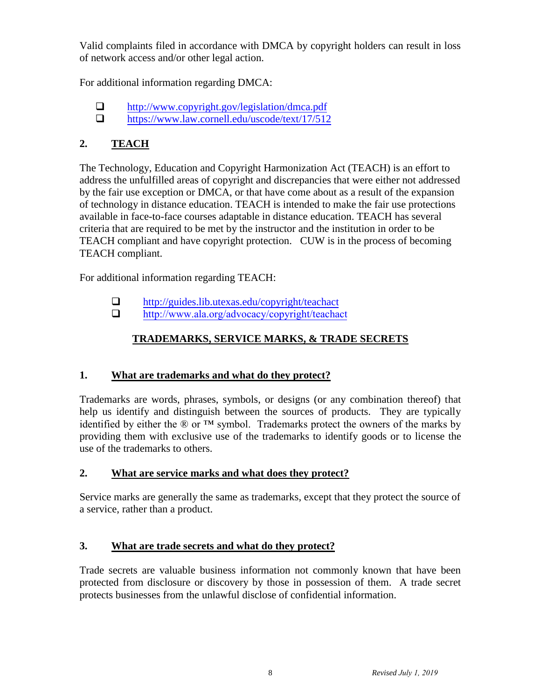Valid complaints filed in accordance with DMCA by copyright holders can result in loss of network access and/or other legal action.

For additional information regarding DMCA:

- <http://www.copyright.gov/legislation/dmca.pdf>
- $\Box$  <https://www.law.cornell.edu/uscode/text/17/512>

## **2. TEACH**

The Technology, Education and Copyright Harmonization Act (TEACH) is an effort to address the unfulfilled areas of copyright and discrepancies that were either not addressed by the fair use exception or DMCA, or that have come about as a result of the expansion of technology in distance education. TEACH is intended to make the fair use protections available in face-to-face courses adaptable in distance education. TEACH has several criteria that are required to be met by the instructor and the institution in order to be TEACH compliant and have copyright protection. CUW is in the process of becoming TEACH compliant.

For additional information regarding TEACH:

- <http://guides.lib.utexas.edu/copyright/teachact>
- [http://www.ala.org/advocacy/copyright/teachact](http://www.ala.org/advocacy/copyright/teachact/faq)

## **TRADEMARKS, SERVICE MARKS, & TRADE SECRETS**

## **1. What are trademarks and what do they protect?**

Trademarks are words, phrases, symbols, or designs (or any combination thereof) that help us identify and distinguish between the sources of products. They are typically identified by either the  $\mathbb{R}$  or  $TM$  symbol. Trademarks protect the owners of the marks by providing them with exclusive use of the trademarks to identify goods or to license the use of the trademarks to others.

## **2. What are service marks and what does they protect?**

Service marks are generally the same as trademarks, except that they protect the source of a service, rather than a product.

## **3. What are trade secrets and what do they protect?**

Trade secrets are valuable business information not commonly known that have been protected from disclosure or discovery by those in possession of them. A trade secret protects businesses from the unlawful disclose of confidential information.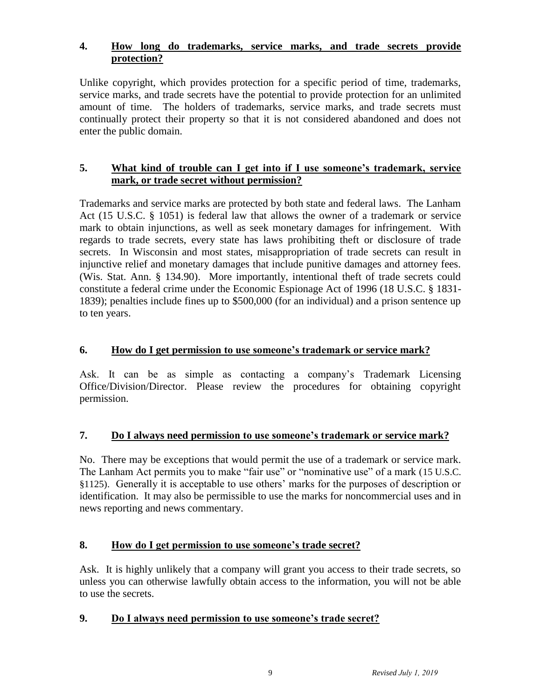#### **4. How long do trademarks, service marks, and trade secrets provide protection?**

Unlike copyright, which provides protection for a specific period of time, trademarks, service marks, and trade secrets have the potential to provide protection for an unlimited amount of time. The holders of trademarks, service marks, and trade secrets must continually protect their property so that it is not considered abandoned and does not enter the public domain.

#### **5. What kind of trouble can I get into if I use someone's trademark, service mark, or trade secret without permission?**

Trademarks and service marks are protected by both state and federal laws. The Lanham Act (15 U.S.C. § 1051) is federal law that allows the owner of a trademark or service mark to obtain injunctions, as well as seek monetary damages for infringement. With regards to trade secrets, every state has laws prohibiting theft or disclosure of trade secrets. In Wisconsin and most states, misappropriation of trade secrets can result in injunctive relief and monetary damages that include punitive damages and attorney fees. (Wis. Stat. Ann. § 134.90). More importantly, intentional theft of trade secrets could constitute a federal crime under the Economic Espionage Act of 1996 (18 U.S.C. § 1831- 1839); penalties include fines up to \$500,000 (for an individual) and a prison sentence up to ten years.

## **6. How do I get permission to use someone's trademark or service mark?**

Ask. It can be as simple as contacting a company's Trademark Licensing Office/Division/Director. Please review the procedures for obtaining copyright permission.

## **7. Do I always need permission to use someone's trademark or service mark?**

No. There may be exceptions that would permit the use of a trademark or service mark. The Lanham Act permits you to make "fair use" or "nominative use" of a mark (15 U.S.C. §1125). Generally it is acceptable to use others' marks for the purposes of description or identification. It may also be permissible to use the marks for noncommercial uses and in news reporting and news commentary.

## **8. How do I get permission to use someone's trade secret?**

Ask. It is highly unlikely that a company will grant you access to their trade secrets, so unless you can otherwise lawfully obtain access to the information, you will not be able to use the secrets.

## **9. Do I always need permission to use someone's trade secret?**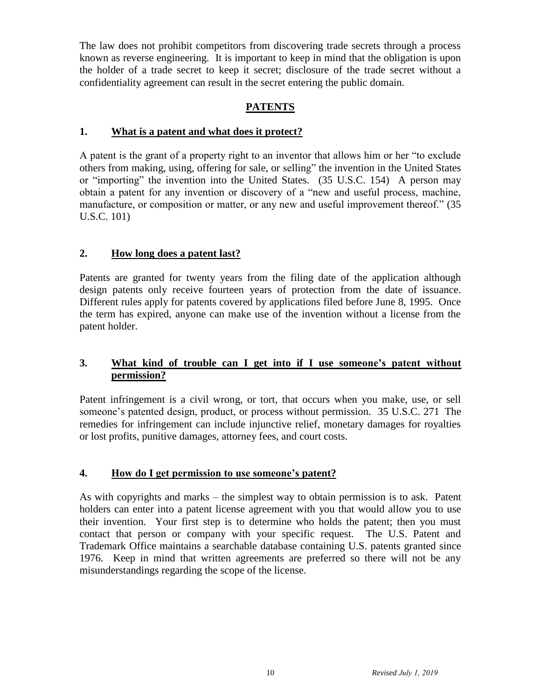The law does not prohibit competitors from discovering trade secrets through a process known as reverse engineering. It is important to keep in mind that the obligation is upon the holder of a trade secret to keep it secret; disclosure of the trade secret without a confidentiality agreement can result in the secret entering the public domain.

## **PATENTS**

#### **1. What is a patent and what does it protect?**

A patent is the grant of a property right to an inventor that allows him or her "to exclude others from making, using, offering for sale, or selling" the invention in the United States or "importing" the invention into the United States. (35 U.S.C. 154) A person may obtain a patent for any invention or discovery of a "new and useful process, machine, manufacture, or composition or matter, or any new and useful improvement thereof." (35 U.S.C. 101)

## **2. How long does a patent last?**

Patents are granted for twenty years from the filing date of the application although design patents only receive fourteen years of protection from the date of issuance. Different rules apply for patents covered by applications filed before June 8, 1995. Once the term has expired, anyone can make use of the invention without a license from the patent holder.

#### **3. What kind of trouble can I get into if I use someone's patent without permission?**

Patent infringement is a civil wrong, or tort, that occurs when you make, use, or sell someone's patented design, product, or process without permission. 35 U.S.C. 271 The remedies for infringement can include injunctive relief, monetary damages for royalties or lost profits, punitive damages, attorney fees, and court costs.

## **4. How do I get permission to use someone's patent?**

As with copyrights and marks – the simplest way to obtain permission is to ask. Patent holders can enter into a patent license agreement with you that would allow you to use their invention. Your first step is to determine who holds the patent; then you must contact that person or company with your specific request. The U.S. Patent and Trademark Office maintains a searchable database containing U.S. patents granted since 1976. Keep in mind that written agreements are preferred so there will not be any misunderstandings regarding the scope of the license.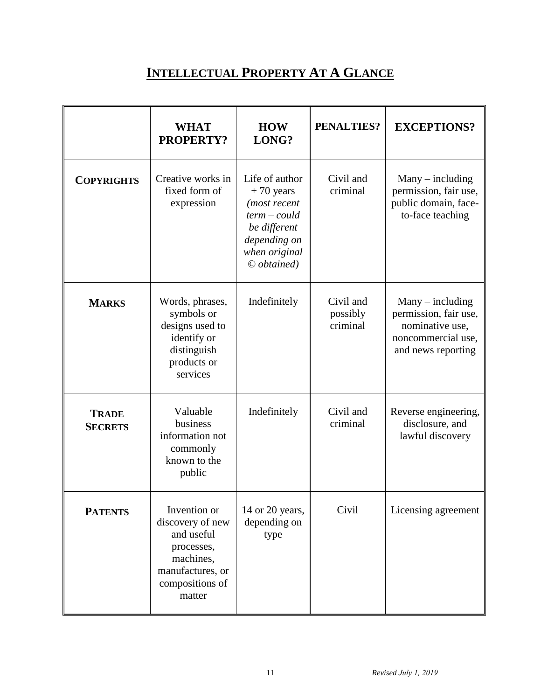# **INTELLECTUAL PROPERTY AT A GLANCE**

|                                | <b>WHAT</b><br>PROPERTY?                                                                                                   | <b>HOW</b><br>LONG?                                                                                                                 | <b>PENALTIES?</b>                 | <b>EXCEPTIONS?</b>                                                                                         |
|--------------------------------|----------------------------------------------------------------------------------------------------------------------------|-------------------------------------------------------------------------------------------------------------------------------------|-----------------------------------|------------------------------------------------------------------------------------------------------------|
| <b>COPYRIGHTS</b>              | Creative works in<br>fixed form of<br>expression                                                                           | Life of author<br>$+70$ years<br>(most recent<br>$term-could$<br>be different<br>depending on<br>when original<br>$\odot$ obtained) | Civil and<br>criminal             | $Many - including$<br>permission, fair use,<br>public domain, face-<br>to-face teaching                    |
| <b>MARKS</b>                   | Words, phrases,<br>symbols or<br>designs used to<br>identify or<br>distinguish<br>products or<br>services                  | Indefinitely                                                                                                                        | Civil and<br>possibly<br>criminal | $Many - including$<br>permission, fair use,<br>nominative use,<br>noncommercial use,<br>and news reporting |
| <b>TRADE</b><br><b>SECRETS</b> | Valuable<br>business<br>information not<br>commonly<br>known to the<br>public                                              | Indefinitely                                                                                                                        | Civil and<br>criminal             | Reverse engineering,<br>disclosure, and<br>lawful discovery                                                |
| <b>PATENTS</b>                 | Invention or<br>discovery of new<br>and useful<br>processes,<br>machines,<br>manufactures, or<br>compositions of<br>matter | 14 or 20 years,<br>depending on<br>type                                                                                             | Civil                             | Licensing agreement                                                                                        |